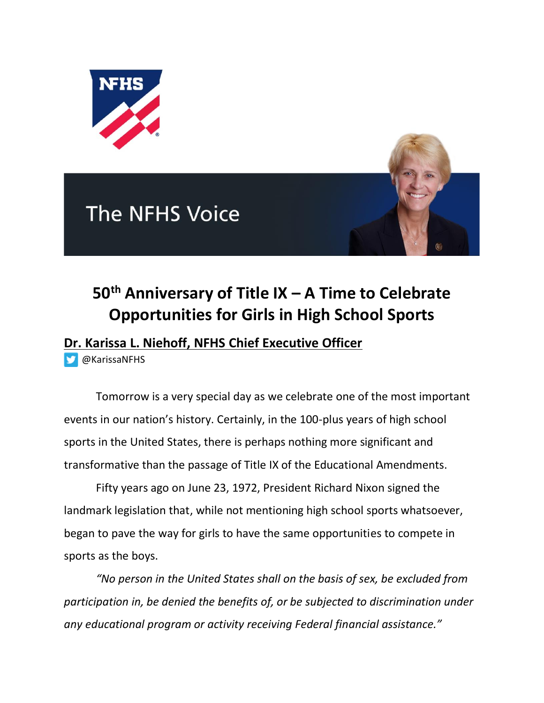

## **The NFHS Voice**



## **50th Anniversary of Title IX – A Time to Celebrate Opportunities for Girls in High School Sports**

## **Dr. Karissa L. Niehoff, NFHS Chief Executive Officer**

[@KarissaNFHS](https://twitter.com/KarissaNFHS)

Tomorrow is a very special day as we celebrate one of the most important events in our nation's history. Certainly, in the 100-plus years of high school sports in the United States, there is perhaps nothing more significant and transformative than the passage of Title IX of the Educational Amendments.

Fifty years ago on June 23, 1972, President Richard Nixon signed the landmark legislation that, while not mentioning high school sports whatsoever, began to pave the way for girls to have the same opportunities to compete in sports as the boys.

*"No person in the United States shall on the basis of sex, be excluded from participation in, be denied the benefits of, or be subjected to discrimination under any educational program or activity receiving Federal financial assistance."*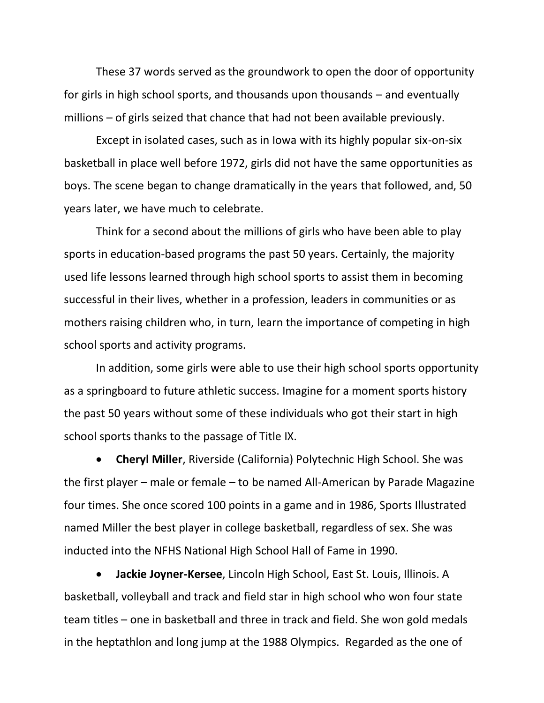These 37 words served as the groundwork to open the door of opportunity for girls in high school sports, and thousands upon thousands – and eventually millions – of girls seized that chance that had not been available previously.

Except in isolated cases, such as in Iowa with its highly popular six-on-six basketball in place well before 1972, girls did not have the same opportunities as boys. The scene began to change dramatically in the years that followed, and, 50 years later, we have much to celebrate.

Think for a second about the millions of girls who have been able to play sports in education-based programs the past 50 years. Certainly, the majority used life lessons learned through high school sports to assist them in becoming successful in their lives, whether in a profession, leaders in communities or as mothers raising children who, in turn, learn the importance of competing in high school sports and activity programs.

In addition, some girls were able to use their high school sports opportunity as a springboard to future athletic success. Imagine for a moment sports history the past 50 years without some of these individuals who got their start in high school sports thanks to the passage of Title IX.

• **Cheryl Miller**, Riverside (California) Polytechnic High School. She was the first player – male or female – to be named All-American by Parade Magazine four times. She once scored 100 points in a game and in 1986, Sports Illustrated named Miller the best player in college basketball, regardless of sex. She was inducted into the NFHS National High School Hall of Fame in 1990.

• **Jackie Joyner-Kersee**, Lincoln High School, East St. Louis, Illinois. A basketball, volleyball and track and field star in high school who won four state team titles – one in basketball and three in track and field. She won gold medals in the heptathlon and long jump at the 1988 Olympics. Regarded as the one of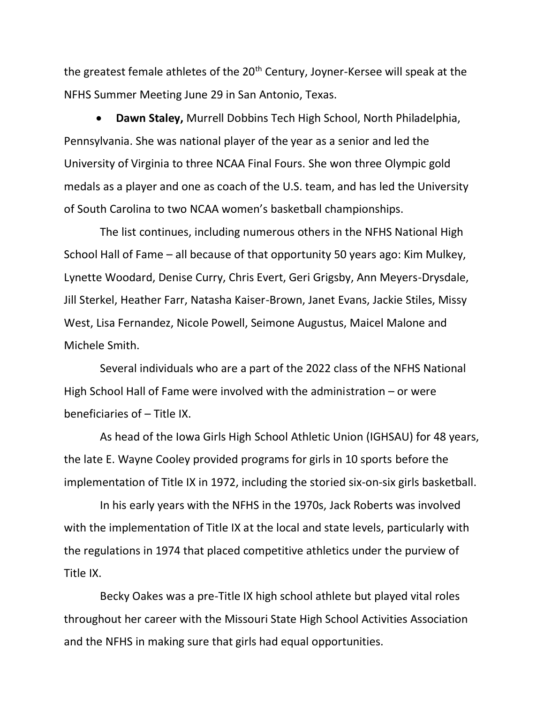the greatest female athletes of the 20<sup>th</sup> Century, Joyner-Kersee will speak at the NFHS Summer Meeting June 29 in San Antonio, Texas.

• **Dawn Staley,** Murrell Dobbins Tech High School, North Philadelphia, Pennsylvania. She was national player of the year as a senior and led the University of Virginia to three NCAA Final Fours. She won three Olympic gold medals as a player and one as coach of the U.S. team, and has led the University of South Carolina to two NCAA women's basketball championships.

The list continues, including numerous others in the NFHS National High School Hall of Fame – all because of that opportunity 50 years ago: Kim Mulkey, Lynette Woodard, Denise Curry, Chris Evert, Geri Grigsby, Ann Meyers-Drysdale, Jill Sterkel, Heather Farr, Natasha Kaiser-Brown, Janet Evans, Jackie Stiles, Missy West, Lisa Fernandez, Nicole Powell, Seimone Augustus, Maicel Malone and Michele Smith.

Several individuals who are a part of the 2022 class of the NFHS National High School Hall of Fame were involved with the administration – or were beneficiaries of – Title IX.

As head of the Iowa Girls High School Athletic Union (IGHSAU) for 48 years, the late E. Wayne Cooley provided programs for girls in 10 sports before the implementation of Title IX in 1972, including the storied six-on-six girls basketball.

In his early years with the NFHS in the 1970s, Jack Roberts was involved with the implementation of Title IX at the local and state levels, particularly with the regulations in 1974 that placed competitive athletics under the purview of Title IX.

Becky Oakes was a pre-Title IX high school athlete but played vital roles throughout her career with the Missouri State High School Activities Association and the NFHS in making sure that girls had equal opportunities.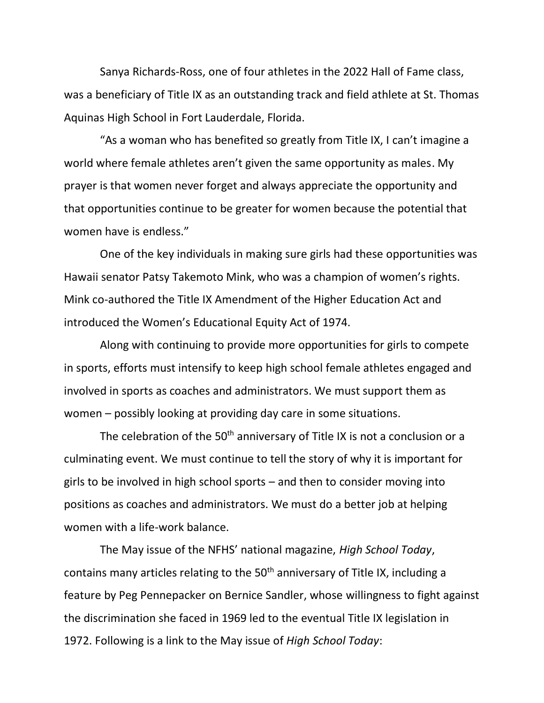Sanya Richards-Ross, one of four athletes in the 2022 Hall of Fame class, was a beneficiary of Title IX as an outstanding track and field athlete at St. Thomas Aquinas High School in Fort Lauderdale, Florida.

"As a woman who has benefited so greatly from Title IX, I can't imagine a world where female athletes aren't given the same opportunity as males. My prayer is that women never forget and always appreciate the opportunity and that opportunities continue to be greater for women because the potential that women have is endless."

One of the key individuals in making sure girls had these opportunities was Hawaii senator Patsy Takemoto Mink, who was a champion of women's rights. Mink co-authored the Title IX Amendment of the Higher Education Act and introduced the Women's Educational Equity Act of 1974.

Along with continuing to provide more opportunities for girls to compete in sports, efforts must intensify to keep high school female athletes engaged and involved in sports as coaches and administrators. We must support them as women – possibly looking at providing day care in some situations.

The celebration of the  $50<sup>th</sup>$  anniversary of Title IX is not a conclusion or a culminating event. We must continue to tell the story of why it is important for girls to be involved in high school sports – and then to consider moving into positions as coaches and administrators. We must do a better job at helping women with a life-work balance.

The May issue of the NFHS' national magazine, *High School Today*, contains many articles relating to the 50<sup>th</sup> anniversary of Title IX, including a feature by Peg Pennepacker on Bernice Sandler, whose willingness to fight against the discrimination she faced in 1969 led to the eventual Title IX legislation in 1972. Following is a link to the May issue of *High School Today*: